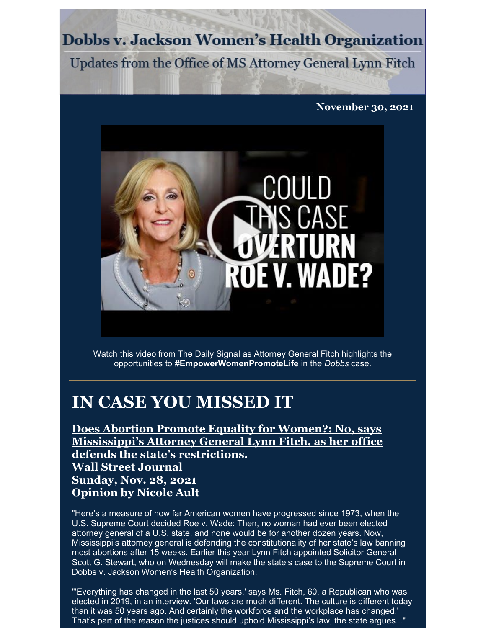**Dobbs v. Jackson Women's Health Organization** 

Updates from the Office of MS Attorney General Lynn Fitch

**November 30, 2021**



Watch this video from The Daily [Signa](https://youtu.be/o_SJEhSQaoY)l as Attorney General Fitch highlights the opportunities to **#EmpowerWomenPromoteLife** in the *Dobbs* case.

## **IN CASE YOU MISSED IT**

**Does Abortion Promote Equality for Women?: No, says [Mississippi's](https://www.wsj.com/articles/does-abortion-promote-equality-for-women-childbearing-law-11638115972) Attorney General Lynn Fitch, as her office defends the state's restrictions.**

**Wall Street Journal Sunday, Nov. 28, 2021 Opinion by Nicole Ault**

"Here's a measure of how far American women have progressed since 1973, when the U.S. Supreme Court decided Roe v. Wade: Then, no woman had ever been elected attorney general of a U.S. state, and none would be for another dozen years. Now, Mississippi's attorney general is defending the constitutionality of her state's law banning most abortions after 15 weeks. Earlier this year Lynn Fitch appointed Solicitor General Scott G. Stewart, who on Wednesday will make the state's case to the Supreme Court in Dobbs v. Jackson Women's Health Organization.

"'Everything has changed in the last 50 years,' says Ms. Fitch, 60, a Republican who was elected in 2019, in an interview. 'Our laws are much different. The culture is different today than it was 50 years ago. And certainly the workforce and the workplace has changed.' That's part of the reason the justices should uphold Mississippi's law, the state argues..."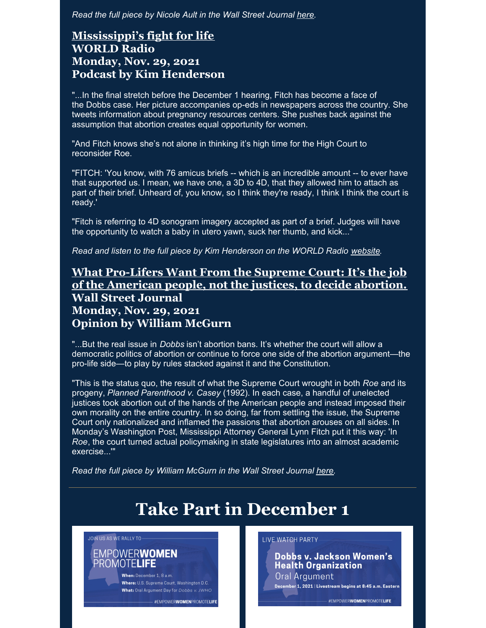*Read the full piece by Nicole Ault in the Wall Street Journal [here](https://www.wsj.com/articles/does-abortion-promote-equality-for-women-childbearing-law-11638115972).*

#### **[Mississippi's](https://wng.org/podcasts/mississippis-fight-for-life-1638255984) fight for life WORLD Radio Monday, Nov. 29, 2021 Podcast by Kim Henderson**

"...In the final stretch before the December 1 hearing, Fitch has become a face of the Dobbs case. Her picture accompanies op-eds in newspapers across the country. She tweets information about pregnancy resources centers. She pushes back against the assumption that abortion creates equal opportunity for women.

"And Fitch knows she's not alone in thinking it's high time for the High Court to reconsider Roe.

"FITCH: 'You know, with 76 amicus briefs -- which is an incredible amount -- to ever have that supported us. I mean, we have one, a 3D to 4D, that they allowed him to attach as part of their brief. Unheard of, you know, so I think they're ready, I think I think the court is ready.'

"Fitch is referring to 4D sonogram imagery accepted as part of a brief. Judges will have the opportunity to watch a baby in utero yawn, suck her thumb, and kick..."

*Read and listen to the full piece by Kim Henderson on the WORLD Radio [website](https://wng.org/podcasts/mississippis-fight-for-life-1638255984).*

#### **What [Pro-Lifers](https://www.wsj.com/articles/what-pro-lifers-want-supreme-court-casey-roe-undue-burden-dobbs-jackson-womens-health-11638222045?reflink=share_mobilewebshare) Want From the Supreme Court: It's the job of the American people, not the justices, to decide abortion. Wall Street Journal Monday, Nov. 29, 2021**

### **Opinion by William McGurn**

"...But the real issue in *Dobbs* isn't abortion bans. It's whether the court will allow a democratic politics of abortion or continue to force one side of the abortion argument—the pro-life side—to play by rules stacked against it and the Constitution.

"This is the status quo, the result of what the Supreme Court wrought in both *Roe* and its progeny, *Planned Parenthood v. Casey* (1992). In each case, a handful of unelected justices took abortion out of the hands of the American people and instead imposed their own morality on the entire country. In so doing, far from settling the issue, the Supreme Court only nationalized and inflamed the passions that abortion arouses on all sides. In Monday's Washington Post, Mississippi Attorney General Lynn Fitch put it this way: 'In *Roe*, the court turned actual policymaking in state legislatures into an almost academic exercise...'"

*Read the full piece by William McGurn in the Wall Street Journal [here](https://www.wsj.com/articles/what-pro-lifers-want-supreme-court-casey-roe-undue-burden-dobbs-jackson-womens-health-11638222045?reflink=share_mobilewebshare).*

# **Take Part in December 1**

JOIN US AS WE RALLY TO-

**EMPOWERWOMEN** PROMOTELIFE

When: December 1, 8 a.m. Where: U.S. Supreme Court, Washington D.C. What: Oral Argument Day for Dobbs v. JWHO

#EMPOWERWOMENPROMOTELIFE

#### LIVE WATCH PARTY

Dobbs v. Jackson Women's **Health Organization** Oral Argument

December 1, 2021 | Livestream begins at 8:45 a.m. Eastern

#EMPOWERWOMENPROMOTELIFE